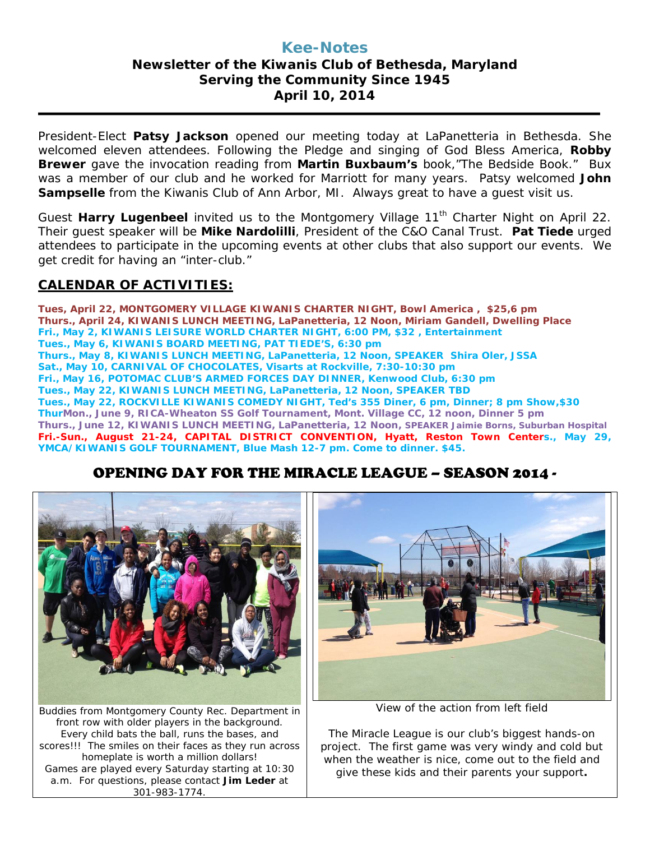## **Kee-Notes Newsletter of the Kiwanis Club of Bethesda, Maryland Serving the Community Since 1945 April 10, 2014**

President-Elect **Patsy Jackson** opened our meeting today at LaPanetteria in Bethesda. She welcomed eleven attendees. Following the Pledge and singing of God Bless America, **Robby Brewer** gave the invocation reading from **Martin Buxbaum's** book,"The Bedside Book." Bux was a member of our club and he worked for Marriott for many years. Patsy welcomed **John Sampselle** from the Kiwanis Club of Ann Arbor, MI. Always great to have a guest visit us.

Guest Harry Lugenbeel invited us to the Montgomery Village 11<sup>th</sup> Charter Night on April 22. Their guest speaker will be **Mike Nardolilli**, President of the C&O Canal Trust. **Pat Tiede** urged attendees to participate in the upcoming events at other clubs that also support our events. We get credit for having an "inter-club."

## **CALENDAR OF ACTIVITIES:**

**Tues, April 22, MONTGOMERY VILLAGE KIWANIS CHARTER NIGHT, Bowl America , \$25,6 pm Thurs., April 24, KIWANIS LUNCH MEETING, LaPanetteria, 12 Noon, Miriam Gandell, Dwelling Place Fri., May 2, KIWANIS LEISURE WORLD CHARTER NIGHT, 6:00 PM, \$32 , Entertainment Tues., May 6, KIWANIS BOARD MEETING, PAT TIEDE'S, 6:30 pm Thurs., May 8, KIWANIS LUNCH MEETING, LaPanetteria, 12 Noon, SPEAKER Shira Oler, JSSA Sat., May 10, CARNIVAL OF CHOCOLATES, Visarts at Rockville, 7:30-10:30 pm Fri., May 16, POTOMAC CLUB'S ARMED FORCES DAY DINNER, Kenwood Club, 6:30 pm Tues., May 22, KIWANIS LUNCH MEETING, LaPanetteria, 12 Noon, SPEAKER TBD Tues., May 22, ROCKVILLE KIWANIS COMEDY NIGHT, Ted's 355 Diner, 6 pm, Dinner; 8 pm Show,\$30 ThurMon., June 9, RICA-Wheaton SS Golf Tournament, Mont. Village CC, 12 noon, Dinner 5 pm Thurs., June 12, KIWANIS LUNCH MEETING, LaPanetteria, 12 Noon, SPEAKER Jaimie Borns, Suburban Hospital Fri.-Sun., August 21-24, CAPITAL DISTRICT CONVENTION, Hyatt, Reston Town Centers., May 29, YMCA/KIWANIS GOLF TOURNAMENT, Blue Mash 12-7 pm. Come to dinner. \$45.**

# OPENING DAY FOR THE MIRACLE LEAGUE – SEASON 2014 -



Buddies from Montgomery County Rec. Department in front row with older players in the background. Every child bats the ball, runs the bases, and scores!!! The smiles on their faces as they run across homeplate is worth a million dollars! Games are played every Saturday starting at 10:30 a.m. For questions, please contact **Jim Leder** at 301-983-1774.



View of the action from left field

The Miracle League is our club's biggest hands-on project. The first game was very windy and cold but when the weather is nice, come out to the field and give these kids and their parents your support**.**